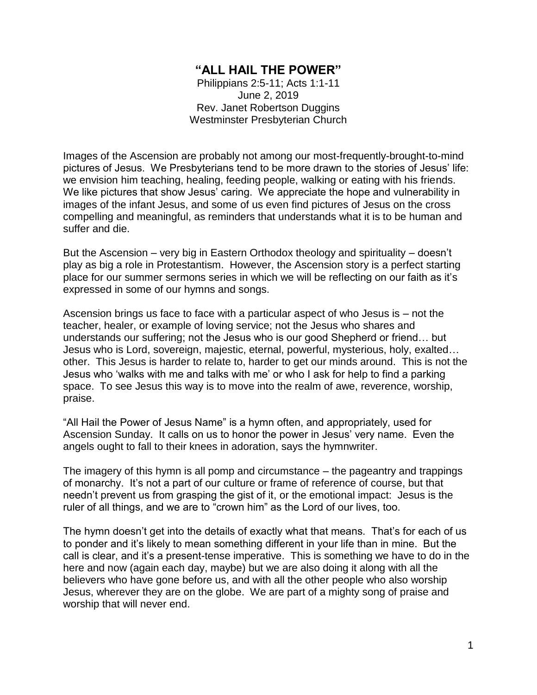## **"ALL HAIL THE POWER"**

Philippians 2:5-11; Acts 1:1-11 June 2, 2019 Rev. Janet Robertson Duggins Westminster Presbyterian Church

Images of the Ascension are probably not among our most-frequently-brought-to-mind pictures of Jesus. We Presbyterians tend to be more drawn to the stories of Jesus' life: we envision him teaching, healing, feeding people, walking or eating with his friends. We like pictures that show Jesus' caring. We appreciate the hope and vulnerability in images of the infant Jesus, and some of us even find pictures of Jesus on the cross compelling and meaningful, as reminders that understands what it is to be human and suffer and die.

But the Ascension – very big in Eastern Orthodox theology and spirituality – doesn't play as big a role in Protestantism. However, the Ascension story is a perfect starting place for our summer sermons series in which we will be reflecting on our faith as it's expressed in some of our hymns and songs.

Ascension brings us face to face with a particular aspect of who Jesus is – not the teacher, healer, or example of loving service; not the Jesus who shares and understands our suffering; not the Jesus who is our good Shepherd or friend… but Jesus who is Lord, sovereign, majestic, eternal, powerful, mysterious, holy, exalted… other. This Jesus is harder to relate to, harder to get our minds around. This is not the Jesus who 'walks with me and talks with me' or who I ask for help to find a parking space. To see Jesus this way is to move into the realm of awe, reverence, worship, praise.

"All Hail the Power of Jesus Name" is a hymn often, and appropriately, used for Ascension Sunday. It calls on us to honor the power in Jesus' very name. Even the angels ought to fall to their knees in adoration, says the hymnwriter.

The imagery of this hymn is all pomp and circumstance – the pageantry and trappings of monarchy. It's not a part of our culture or frame of reference of course, but that needn't prevent us from grasping the gist of it, or the emotional impact: Jesus is the ruler of all things, and we are to "crown him" as the Lord of our lives, too.

The hymn doesn't get into the details of exactly what that means. That's for each of us to ponder and it's likely to mean something different in your life than in mine. But the call is clear, and it's a present-tense imperative. This is something we have to do in the here and now (again each day, maybe) but we are also doing it along with all the believers who have gone before us, and with all the other people who also worship Jesus, wherever they are on the globe. We are part of a mighty song of praise and worship that will never end.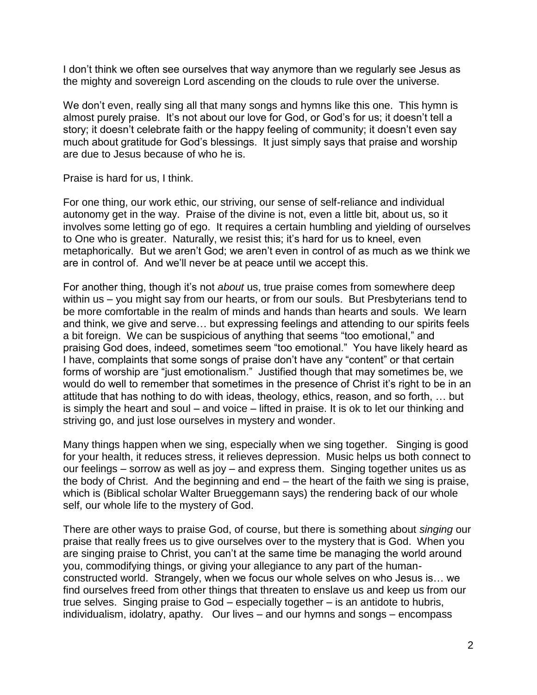I don't think we often see ourselves that way anymore than we regularly see Jesus as the mighty and sovereign Lord ascending on the clouds to rule over the universe.

We don't even, really sing all that many songs and hymns like this one. This hymn is almost purely praise. It's not about our love for God, or God's for us; it doesn't tell a story; it doesn't celebrate faith or the happy feeling of community; it doesn't even say much about gratitude for God's blessings. It just simply says that praise and worship are due to Jesus because of who he is.

Praise is hard for us, I think.

For one thing, our work ethic, our striving, our sense of self-reliance and individual autonomy get in the way. Praise of the divine is not, even a little bit, about us, so it involves some letting go of ego. It requires a certain humbling and yielding of ourselves to One who is greater. Naturally, we resist this; it's hard for us to kneel, even metaphorically. But we aren't God; we aren't even in control of as much as we think we are in control of. And we'll never be at peace until we accept this.

For another thing, though it's not *about* us, true praise comes from somewhere deep within us – you might say from our hearts, or from our souls. But Presbyterians tend to be more comfortable in the realm of minds and hands than hearts and souls. We learn and think, we give and serve… but expressing feelings and attending to our spirits feels a bit foreign. We can be suspicious of anything that seems "too emotional," and praising God does, indeed, sometimes seem "too emotional." You have likely heard as I have, complaints that some songs of praise don't have any "content" or that certain forms of worship are "just emotionalism." Justified though that may sometimes be, we would do well to remember that sometimes in the presence of Christ it's right to be in an attitude that has nothing to do with ideas, theology, ethics, reason, and so forth, … but is simply the heart and soul – and voice – lifted in praise. It is ok to let our thinking and striving go, and just lose ourselves in mystery and wonder.

Many things happen when we sing, especially when we sing together. Singing is good for your health, it reduces stress, it relieves depression. Music helps us both connect to our feelings – sorrow as well as joy – and express them. Singing together unites us as the body of Christ. And the beginning and end – the heart of the faith we sing is praise, which is (Biblical scholar Walter Brueggemann says) the rendering back of our whole self, our whole life to the mystery of God.

There are other ways to praise God, of course, but there is something about *singing* our praise that really frees us to give ourselves over to the mystery that is God. When you are singing praise to Christ, you can't at the same time be managing the world around you, commodifying things, or giving your allegiance to any part of the humanconstructed world. Strangely, when we focus our whole selves on who Jesus is… we find ourselves freed from other things that threaten to enslave us and keep us from our true selves. Singing praise to God – especially together – is an antidote to hubris, individualism, idolatry, apathy. Our lives – and our hymns and songs – encompass